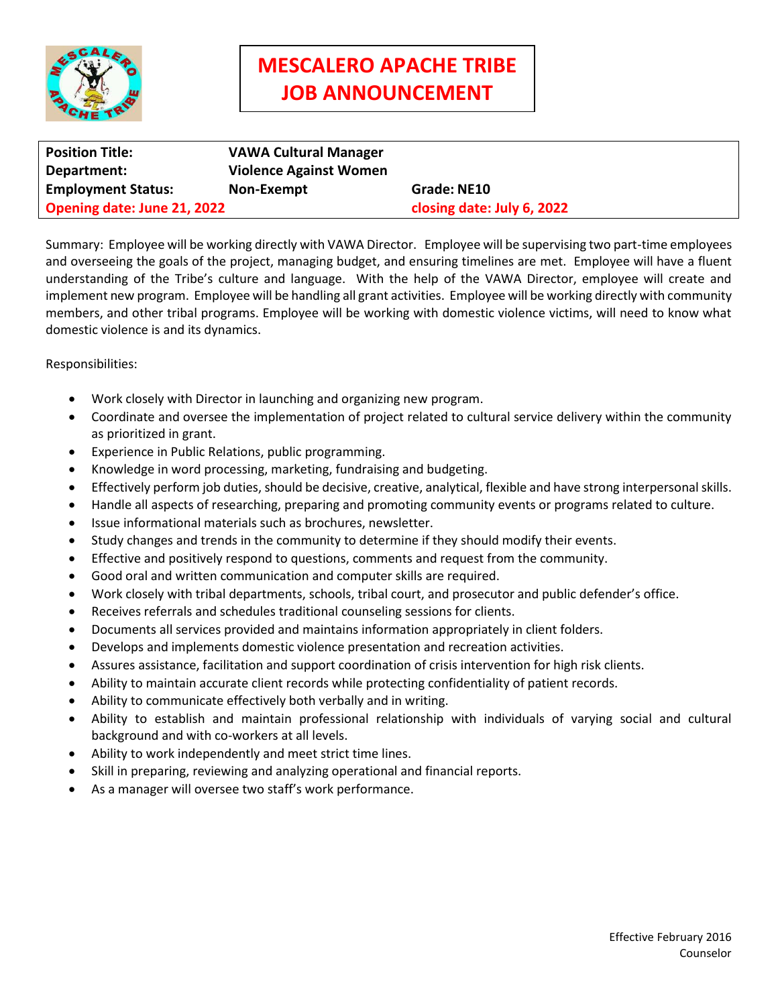

## **MESCALERO APACHE TRIBE JOB ANNOUNCEMENT**

| <b>Position Title:</b>      | <b>VAWA Cultural Manager</b>  |                            |
|-----------------------------|-------------------------------|----------------------------|
| Department:                 | <b>Violence Against Women</b> |                            |
| <b>Employment Status:</b>   | Non-Exempt                    | Grade: NE10                |
| Opening date: June 21, 2022 |                               | closing date: July 6, 2022 |

Summary: Employee will be working directly with VAWA Director. Employee will be supervising two part-time employees and overseeing the goals of the project, managing budget, and ensuring timelines are met. Employee will have a fluent understanding of the Tribe's culture and language. With the help of the VAWA Director, employee will create and implement new program. Employee will be handling all grant activities. Employee will be working directly with community members, and other tribal programs. Employee will be working with domestic violence victims, will need to know what domestic violence is and its dynamics.

Responsibilities:

- Work closely with Director in launching and organizing new program.
- Coordinate and oversee the implementation of project related to cultural service delivery within the community as prioritized in grant.
- Experience in Public Relations, public programming.
- Knowledge in word processing, marketing, fundraising and budgeting.
- Effectively perform job duties, should be decisive, creative, analytical, flexible and have strong interpersonal skills.
- Handle all aspects of researching, preparing and promoting community events or programs related to culture.
- Issue informational materials such as brochures, newsletter.
- Study changes and trends in the community to determine if they should modify their events.
- Effective and positively respond to questions, comments and request from the community.
- Good oral and written communication and computer skills are required.
- Work closely with tribal departments, schools, tribal court, and prosecutor and public defender's office.
- Receives referrals and schedules traditional counseling sessions for clients.
- Documents all services provided and maintains information appropriately in client folders.
- Develops and implements domestic violence presentation and recreation activities.
- Assures assistance, facilitation and support coordination of crisis intervention for high risk clients.
- Ability to maintain accurate client records while protecting confidentiality of patient records.
- Ability to communicate effectively both verbally and in writing.
- Ability to establish and maintain professional relationship with individuals of varying social and cultural background and with co-workers at all levels.
- Ability to work independently and meet strict time lines.
- Skill in preparing, reviewing and analyzing operational and financial reports.
- As a manager will oversee two staff's work performance.